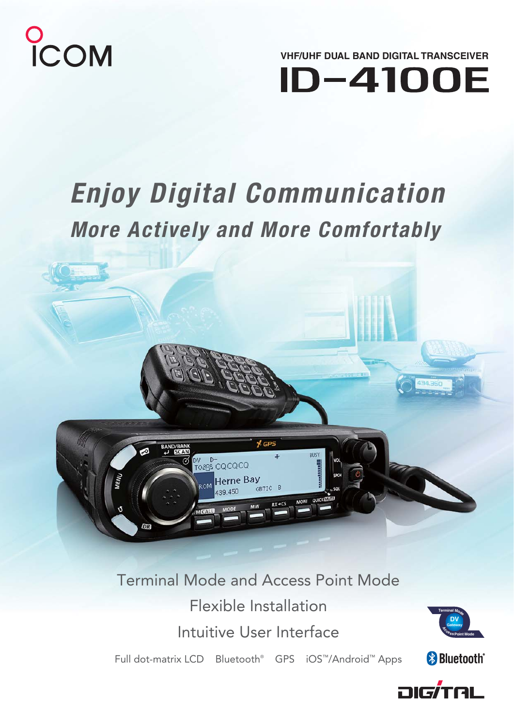

**VHF/UHF DUAL BAND DIGITAL TRANSCEIVER ID-4100E** 

# *Enjoy Digital Communication*

# *More Actively and More Comfortably*



Terminal Mode and Access Point Mode Flexible Installation Intuitive User Interface

Full dot-matrix LCD Bluetooth<sup>®</sup> GPS iOS™/Android™ Apps





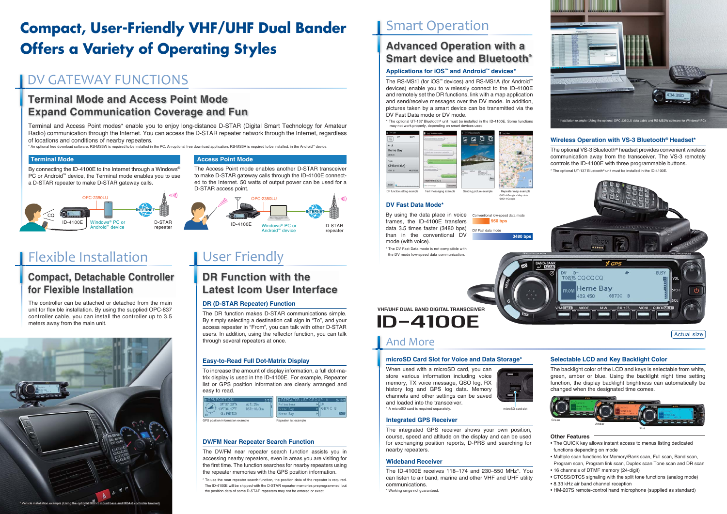Terminal and Access Point modes\* enable you to enjoy long-distance D-STAR (Digital Smart Technology for Amateur Radio) communication through the Internet. You can access the D-STAR repeater network through the Internet, regardless of locations and conditions of nearby repeaters.

\* An optional free download software, RS-MS3W is required to be installed in the PC. An optional free download application, RS-MS3A is required to be installed, in the Android™ device.

The DR function makes D-STAR communications simple. By simply selecting a destination call sign in "To", and your access repeater in "From", you can talk with other D-STAR users. In addition, using the reflector function, you can talk through several repeaters at once.

To increase the amount of display information, a full dot-matrix display is used in the ID-4100E. For example, Repeater list or GPS position information are clearly arranged and easy to read.

The backlight color of the LCD and keys is selectable from white, green, amber or blue. Using the backlight night time setting function, the display backlight brightness can automatically be changed when the designated time comes.

# **Compact, User-Friendly VHF/UHF Dual Bander Offers a Variety of Operating Styles**

The integrated GPS receiver shows your own position, course, speed and altitude on the display and can be used for exchanging position reports, D-PRS and searching for nearby repeaters.

### **Wideband Receiver**

# **DV/FM Near Repeater Search Function**

The DV/FM near repeater search function assists you in accessing nearby repeaters, even in areas you are visiting for the first time. The function searches for nearby repeaters using the repeater memories with the GPS position information.

# **microSD Card Slot for Voice and Data Storage\***

When used with a microSD card, you can store various information including voice memory, TX voice message, QSO log, RX history log and GPS log data. Memory channels and other settings can be saved and loaded into the transceiver.\* A microSD card is required separately.



# **DV Fast Data Mode\***

# **Wireless Operation with VS-3 Bluetooth® Headset\***

By connecting the ID-4100E to the Internet through a Windows® PC or Android™ device, the Terminal mode enables you to use a D-STAR repeater to make D-STAR gateway calls.

> The ID-4100E receives 118–174 and 230–550 MHz\*. You can listen to air band, marine and other VHF and UHF utility communications.

\* Working range not guaranteed.



# Flexible Installation

# **DR (D-STAR Repeater) Function**

# User Friendly

# DV GATEWAY FUNCTIONS

# **Terminal Mode and Access Point ModeExpand Communication Coverage and Fun**

# **Compact, Detachable Controller for Flexible Installation**

# **DR Function with theLatest Icom User Interface**

### **Other Features**

- The QUICK key allows instant access to menus listing dedicated functions depending on mode
- Multiple scan functions for Memory/Bank scan, Full scan, Band scan, Program scan, Program link scan, Duplex scan Tone scan and DR scan
- 16 channels of DTMF memory (24-digit)
- CTCSS/DTCS signaling with the split tone functions (analog mode)
- 8.33 kHz air band channel reception
- HM-207S remote-control hand microphone (supplied as standard)

The optional VS-3 Bluetooth® headset provides convenient wireless communication away from the transceiver. The VS-3 remotely controls the ID-4100E with three programmable buttons. \* The optional UT-137 Bluetooth® unit must be installed in the ID-4100E.



Actual size

# **Easy-to-Read Full Dot-Matrix Display Selectable LCD and Key Backlight Color Selectable LCD and Key Backlight Color**







**VHF/UHF DUAL BAND DIGITAL TRANSCEIVERID-4100E** 

The controller can be attached or detached from the main unit for flexible installation. By using the supplied OPC-837 controller cable, you can install the controller up to 3.5 meters away from the main unit.

| GPS position information example      | Repeater list example        | <b>Integrated GPS Receiver</b>                                               |                   | Green |
|---------------------------------------|------------------------------|------------------------------------------------------------------------------|-------------------|-------|
| ALT: 25m<br>DST: 10.0km<br>GL: PM74S0 | <b>TGB7IC B</b><br>Herne Bay | and loaded into the transceiver.<br>* A microSD card is required separately. | microSD card slot |       |
| E GPS POSITION                        | 'EATER LIST GROUP 1:         | criamers and other settings can be saved                                     |                   |       |

The Access Point mode enables another D-STAR transceiver to make D-STAR gateway calls through the ID-4100E connected to the Internet. 50 watts of output power can be used for a D-STAR access point.

# **Terminal Mode**

# **Access Point Mode**





# And More

The RS-MS1I (for iOS™ devices) and RS-MS1A (for Android™ devices) enable you to wirelessly connect to the ID-4100E and remotely set the DR functions, link with a map application and send/receive messages over the DV mode. In addition, pictures taken by a smart device can be transmitted via the DV Fast Data mode or DV mode.

\* The optional UT-137 Bluetooth® unit must be installed in the ID-4100E. Some functions may not work properly, depending on smart devices used.

# **Applications for iOS™ and Android™ devices\***

# **Advanced Operation with a Smart device and Bluetooth®**



\* To use the near repeater search function, the position data of the repeater is required. The ID-4100E will be shipped with the D-STAR repeater memories preprogrammed, but the position data of some D-STAR repeaters may not be entered or exact.

# **Smart Operation**

By using the data place in voice frames, the ID-4100E transfers data 3.5 times faster (3480 bps) than in the conventional DV mode (with voice).

\* The DV Fast Data mode is not compatible with the DV mode low-speed data communication.